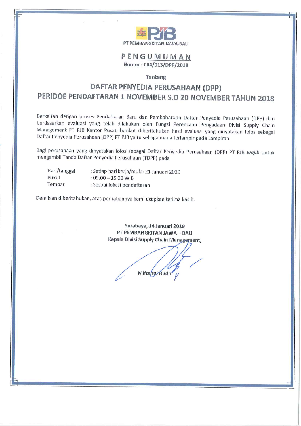

## PENGUMUMAN Nomor: 004/013/DPP/2018

## Tentang

## DAFTAR PENYEDIA PERUSAHAAN (DPP) PERIDOE PENDAFTARAN 1 NOVEMBER S.D 20 NOVEMBER TAHUN 2018

Berkaitan dengan proses Pendaftaran Baru dan Pembaharuan Daftar Penyedia Perusahaan (DPP) dan berdasarkan evaluasi yang telah dilakukan oleh Fungsi Perencana Pengadaan Divisi Supply Chain Management PT PJB Kantor Pusat, berikut diberitahukan hasil evaluasi yang dinyatakan lolos sebagai Daftar Penyedia Perusahaan (DPP) PT PJB yaitu sebagaimana terlampir pada Lampiran.

Bagi perusahaan yang dinyatakan lolos sebagai Daftar Penyedia Perusahaan (DPP) PT PJB wajib untuk mengambil Tanda Daftar Penyedia Perusahaan (TDPP) pada

| Hari/tanggal | : Setiap hari kerja/mulai 21 Januari 2019 |
|--------------|-------------------------------------------|
| Pukul        | $: 09.00 - 15.00$ WIB                     |
| Tempat       | : Sesuai lokasi pendaftaran               |

Demikian diberitahukan, atas perhatiannya kami ucapkan terima kasih.

Surabaya, 14 Januari 2019 PT PEMBANGKITAN JAWA - BALI Kepala Divisi Supply Chain Management,

Miftanu/Huda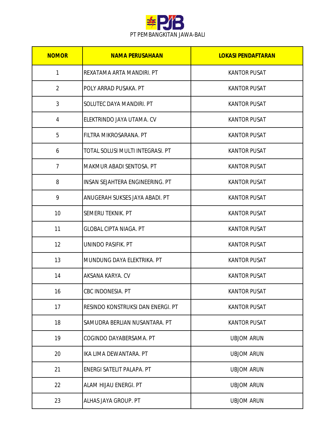

| <b>NOMOR</b>   | <b>NAMA PERUSAHAAN</b>            | <b>LOKASI PENDAFTARAN</b> |
|----------------|-----------------------------------|---------------------------|
| 1              | REXATAMA ARTA MANDIRI. PT         | <b>KANTOR PUSAT</b>       |
| $\overline{2}$ | POLY ARRAD PUSAKA. PT             | <b>KANTOR PUSAT</b>       |
| 3              | SOLUTEC DAYA MANDIRI. PT          | <b>KANTOR PUSAT</b>       |
| 4              | ELEKTRINDO JAYA UTAMA. CV         | <b>KANTOR PUSAT</b>       |
| 5              | FILTRA MIKROSARANA. PT            | <b>KANTOR PUSAT</b>       |
| 6              | TOTAL SOLUSI MULTI INTEGRASI. PT  | <b>KANTOR PUSAT</b>       |
| $\overline{7}$ | MAKMUR ABADI SENTOSA. PT          | <b>KANTOR PUSAT</b>       |
| 8              | INSAN SEJAHTERA ENGINEERING. PT   | <b>KANTOR PUSAT</b>       |
| 9              | ANUGERAH SUKSES JAYA ABADI. PT    | <b>KANTOR PUSAT</b>       |
| 10             | SEMERU TEKNIK. PT                 | <b>KANTOR PUSAT</b>       |
| 11             | <b>GLOBAL CIPTA NIAGA. PT</b>     | <b>KANTOR PUSAT</b>       |
| 12             | UNINDO PASIFIK. PT                | <b>KANTOR PUSAT</b>       |
| 13             | MUNDUNG DAYA ELEKTRIKA. PT        | <b>KANTOR PUSAT</b>       |
| 14             | AKSANA KARYA, CV                  | <b>KANTOR PUSAT</b>       |
| 16             | CBC INDONESIA. PT                 | <b>KANTOR PUSAT</b>       |
| 17             | RESINDO KONSTRUKSI DAN ENERGI. PT | <b>KANTOR PUSAT</b>       |
| 18             | SAMUDRA BERLIAN NUSANTARA. PT     | <b>KANTOR PUSAT</b>       |
| 19             | COGINDO DAYABERSAMA. PT           | <b>UBJOM ARUN</b>         |
| 20             | IKA LIMA DEWANTARA. PT            | <b>UBJOM ARUN</b>         |
| 21             | ENERGI SATELIT PALAPA. PT         | <b>UBJOM ARUN</b>         |
| 22             | ALAM HIJAU ENERGI. PT             | <b>UBJOM ARUN</b>         |
| 23             | ALHAS JAYA GROUP. PT              | <b>UBJOM ARUN</b>         |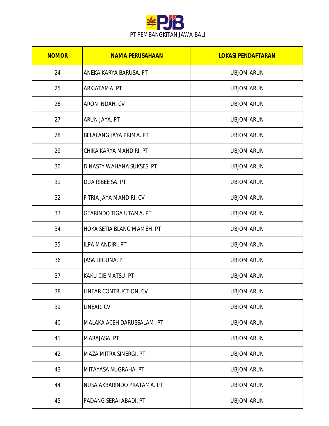

| <b>NOMOR</b> | <b>NAMA PERUSAHAAN</b>         | <b>LOKASI PENDAFTARAN</b> |
|--------------|--------------------------------|---------------------------|
| 24           | ANEKA KARYA BARUSA. PT         | <b>UBJOM ARUN</b>         |
| 25           | ARKIATAMA. PT                  | <b>UBJOM ARUN</b>         |
| 26           | <b>ARON INDAH. CV</b>          | <b>UBJOM ARUN</b>         |
| 27           | ARUN JAYA. PT                  | <b>UBJOM ARUN</b>         |
| 28           | BELALANG JAYA PRIMA. PT        | <b>UBJOM ARUN</b>         |
| 29           | CHIKA KARYA MANDIRI. PT        | <b>UBJOM ARUN</b>         |
| 30           | DINASTY WAHANA SUKSES. PT      | <b>UBJOM ARUN</b>         |
| 31           | DUA RIBEE SA. PT               | <b>UBJOM ARUN</b>         |
| 32           | FITRIA JAYA MANDIRI. CV        | <b>UBJOM ARUN</b>         |
| 33           | <b>GEARINDO TIGA UTAMA. PT</b> | <b>UBJOM ARUN</b>         |
| 34           | HOKA SETIA BLANG MAMEH. PT     | <b>UBJOM ARUN</b>         |
| 35           | <b>ILPA MANDIRI. PT</b>        | <b>UBJOM ARUN</b>         |
| 36           | JASA LEGUNA. PT                | <b>UBJOM ARUN</b>         |
| 37           | <b>KAKU CIE MATSU. PT</b>      | <b>UBJOM ARUN</b>         |
| 38           | LINEAR CONTRUCTION. CV         | <b>UBJOM ARUN</b>         |
| 39           | LINEAR. CV                     | <b>UBJOM ARUN</b>         |
| 40           | MALAKA ACEH DARUSSALAM. PT     | <b>UBJOM ARUN</b>         |
| 41           | MARAJASA. PT                   | <b>UBJOM ARUN</b>         |
| 42           | <b>MAZA MITRA SINERGI. PT</b>  | <b>UBJOM ARUN</b>         |
| 43           | MITAYASA NUGRAHA. PT           | <b>UBJOM ARUN</b>         |
| 44           | NUSA AKBARINDO PRATAMA. PT     | <b>UBJOM ARUN</b>         |
| 45           | PADANG SERAI ABADI. PT         | <b>UBJOM ARUN</b>         |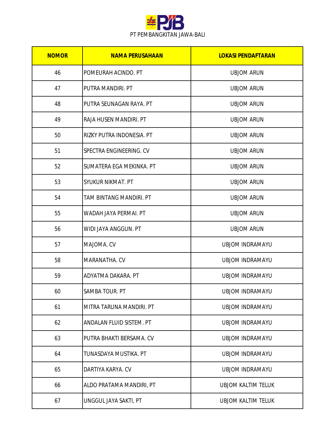

| <b>NOMOR</b> | <b>NAMA PERUSAHAAN</b>    | <b>LOKASI PENDAFTARAN</b> |
|--------------|---------------------------|---------------------------|
| 46           | POMEURAH ACINDO. PT       | <b>UBJOM ARUN</b>         |
| 47           | PUTRA MANDIRI. PT         | <b>UBJOM ARUN</b>         |
| 48           | PUTRA SEUNAGAN RAYA. PT   | <b>UBJOM ARUN</b>         |
| 49           | RAJA HUSEN MANDIRI. PT    | <b>UBJOM ARUN</b>         |
| 50           | RIZKY PUTRA INDONESIA. PT | <b>UBJOM ARUN</b>         |
| 51           | SPECTRA ENGINEERING. CV   | <b>UBJOM ARUN</b>         |
| 52           | SUMATERA EGA MEKINKA. PT  | <b>UBJOM ARUN</b>         |
| 53           | SYUKUR NIKMAT. PT         | <b>UBJOM ARUN</b>         |
| 54           | TAM BINTANG MANDIRI. PT   | <b>UBJOM ARUN</b>         |
| 55           | WADAH JAYA PERMAI. PT     | <b>UBJOM ARUN</b>         |
| 56           | WIDI JAYA ANGGUN. PT      | <b>UBJOM ARUN</b>         |
| 57           | MAJOMA. CV                | <b>UBJOM INDRAMAYU</b>    |
| 58           | MARANATHA, CV             | <b>UBJOM INDRAMAYU</b>    |
| 59           | ADYATMA DAKARA, PT        | <b>UBJOM INDRAMAYU</b>    |
| 60           | SAMBA TOUR. PT            | <b>UBJOM INDRAMAYU</b>    |
| 61           | MITRA TARUNA MANDIRI. PT  | <b>UBJOM INDRAMAYU</b>    |
| 62           | ANDALAN FLUID SISTEM. PT  | <b>UBJOM INDRAMAYU</b>    |
| 63           | PUTRA BHAKTI BERSAMA. CV  | <b>UBJOM INDRAMAYU</b>    |
| 64           | TUNASDAYA MUSTIKA. PT     | <b>UBJOM INDRAMAYU</b>    |
| 65           | DARTIYA KARYA. CV         | <b>UBJOM INDRAMAYU</b>    |
| 66           | ALDO PRATAMA MANDIRI, PT  | <b>UBJOM KALTIM TELUK</b> |
| 67           | UNGGUL JAYA SAKTI, PT     | <b>UBJOM KALTIM TELUK</b> |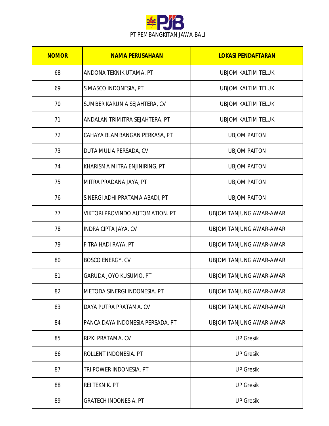

| <b>NOMOR</b> | <b>NAMA PERUSAHAAN</b>                 | <b>LOKASI PENDAFTARAN</b>      |
|--------------|----------------------------------------|--------------------------------|
| 68           | ANDONA TEKNIK UTAMA, PT                | <b>UBJOM KALTIM TELUK</b>      |
| 69           | SIMASCO INDONESIA, PT                  | <b>UBJOM KALTIM TELUK</b>      |
| 70           | SUMBER KARUNIA SEJAHTERA, CV           | <b>UBJOM KALTIM TELUK</b>      |
| 71           | ANDALAN TRIMITRA SEJAHTERA, PT         | <b>UBJOM KALTIM TELUK</b>      |
| 72           | CAHAYA BLAMBANGAN PERKASA, PT          | <b>UBJOM PAITON</b>            |
| 73           | DUTA MULIA PERSADA, CV                 | <b>UBJOM PAITON</b>            |
| 74           | KHARISMA MITRA ENJINIRING, PT          | <b>UBJOM PAITON</b>            |
| 75           | MITRA PRADANA JAYA, PT                 | <b>UBJOM PAITON</b>            |
| 76           | SINERGI ADHI PRATAMA ABADI, PT         | <b>UBJOM PAITON</b>            |
| 77           | <b>VIKTORI PROVINDO AUTOMATION. PT</b> | UBJOM TANJUNG AWAR-AWAR        |
| 78           | <b>INDRA CIPTA JAYA, CV</b>            | UBJOM TANJUNG AWAR-AWAR        |
| 79           | FITRA HADI RAYA. PT                    | <b>UBJOM TANJUNG AWAR-AWAR</b> |
| 80           | <b>BOSCO ENERGY. CV</b>                | UBJOM TANJUNG AWAR-AWAR        |
| 81           | <b>GARUDA JOYO KUSUMO, PT</b>          | <b>UBJOM TANJUNG AWAR-AWAR</b> |
| 82           | METODA SINERGI INDONESIA. PT           | <b>UBJOM TANJUNG AWAR-AWAR</b> |
| 83           | DAYA PUTRA PRATAMA. CV                 | UBJOM TANJUNG AWAR-AWAR        |
| 84           | PANCA DAYA INDONESIA PERSADA. PT       | UBJOM TANJUNG AWAR-AWAR        |
| 85           | RIZKI PRATAMA. CV                      | <b>UP Gresik</b>               |
| 86           | ROLLENT INDONESIA. PT                  | <b>UP Gresik</b>               |
| 87           | TRI POWER INDONESIA. PT                | <b>UP Gresik</b>               |
| 88           | <b>REI TEKNIK. PT</b>                  | <b>UP Gresik</b>               |
| 89           | <b>GRATECH INDONESIA. PT</b>           | <b>UP Gresik</b>               |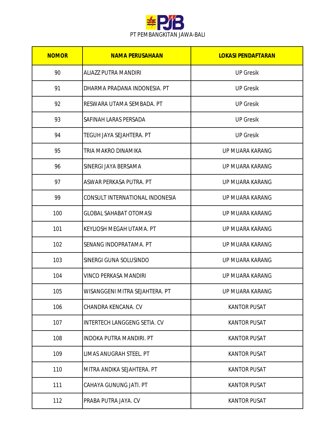

| <b>NOMOR</b> | <b>NAMA PERUSAHAAN</b>              | <b>LOKASI PENDAFTARAN</b> |
|--------------|-------------------------------------|---------------------------|
| 90           | <b>ALIAZZ PUTRA MANDIRI</b>         | <b>UP Gresik</b>          |
| 91           | DHARMA PRADANA INDONESIA. PT        | <b>UP Gresik</b>          |
| 92           | RESWARA UTAMA SEMBADA. PT           | <b>UP Gresik</b>          |
| 93           | SAFINAH LARAS PERSADA               | <b>UP Gresik</b>          |
| 94           | TEGUH JAYA SEJAHTERA. PT            | <b>UP Gresik</b>          |
| 95           | TRIA MAKRO DINAMIKA                 | UP MUARA KARANG           |
| 96           | SINERGI JAYA BERSAMA                | UP MUARA KARANG           |
| 97           | ASWAR PERKASA PUTRA. PT             | UP MUARA KARANG           |
| 99           | CONSULT INTERNATIONAL INDONESIA     | UP MUARA KARANG           |
| 100          | <b>GLOBAL SAHABAT OTOMASI</b>       | UP MUARA KARANG           |
| 101          | <b>KEYLIOSH MEGAH UTAMA, PT</b>     | UP MUARA KARANG           |
| 102          | SENANG INDOPRATAMA. PT              | UP MUARA KARANG           |
| 103          | SINERGI GUNA SOLUSINDO              | UP MUARA KARANG           |
| 104          | <b>VINCO PERKASA MANDIRI</b>        | UP MUARA KARANG           |
| 105          | WISANGGENI MITRA SEJAHTERA. PT      | UP MUARA KARANG           |
| 106          | CHANDRA KENCANA, CV                 | <b>KANTOR PUSAT</b>       |
| 107          | <b>INTERTECH LANGGENG SETIA. CV</b> | <b>KANTOR PUSAT</b>       |
| 108          | <b>INDOKA PUTRA MANDIRI. PT</b>     | <b>KANTOR PUSAT</b>       |
| 109          | LIMAS ANUGRAH STEEL. PT             | <b>KANTOR PUSAT</b>       |
| 110          | MITRA ANDIKA SEJAHTERA. PT          | <b>KANTOR PUSAT</b>       |
| 111          | CAHAYA GUNUNG JATI. PT              | <b>KANTOR PUSAT</b>       |
| 112          | PRABA PUTRA JAYA. CV                | <b>KANTOR PUSAT</b>       |